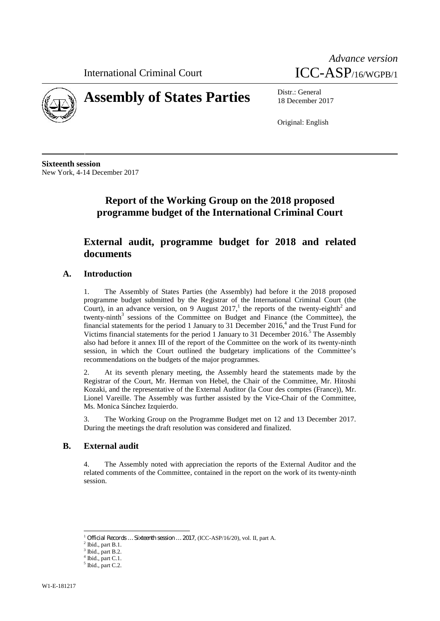International Criminal Court





# **Assembly of States Parties** Distr.: General

18 December 2017

Original: English

**Sixteenth session** New York, 4-14 December 2017

# **Report of the Working Group on the 2018 proposed programme budget of the International Criminal Court**

## **External audit, programme budget for 2018 and related documents**

## **A. Introduction**

1. The Assembly of States Parties (the Assembly) had before it the 2018 proposed programme budget submitted by the Registrar of the International Criminal Court (the Court), in an advance version, on 9 August 2017,<sup>1</sup> the reports of the twenty-eighth<sup>2</sup> and twenty-ninth $3$  sessions of the Committee on Budget and Finance (the Committee), the financial statements for the period 1 January to 31 December  $2016<sup>4</sup>$  and the Trust Fund for Victims financial statements for the period 1 January to 31 December 2016.<sup>5</sup> The Assembly also had before it annex III of the report of the Committee on the work of its twenty-ninth session, in which the Court outlined the budgetary implications of the Committee's recommendations on the budgets of the major programmes.

At its seventh plenary meeting, the Assembly heard the statements made by the Registrar of the Court, Mr. Herman von Hebel, the Chair of the Committee, Mr. Hitoshi Kozaki, and the representative of the External Auditor (la Cour des comptes (France)), Mr. Lionel Vareille. The Assembly was further assisted by the Vice-Chair of the Committee, Ms. Monica Sánchez Izquierdo.

3. The Working Group on the Programme Budget met on 12 and 13 December 2017. During the meetings the draft resolution was considered and finalized.

#### **B. External audit**

4. The Assembly noted with appreciation the reports of the External Auditor and the related comments of the Committee, contained in the report on the work of its twenty-ninth session.

 $^1$  *Official Records … Sixteenth session … 2017*, (ICC-ASP/16/20), vol. II, part A.  $^2$  Ibid., part B.1.

Ibid., part B.2.

 $<sup>4</sup>$  Ibid., part C.1.  $<sup>5</sup>$  Ibid., part C.2.</sup></sup>